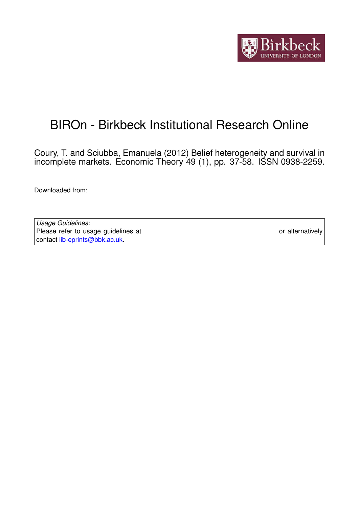

# BIROn - Birkbeck Institutional Research Online

Coury, T. and Sciubba, Emanuela (2012) Belief heterogeneity and survival in incomplete markets. Economic Theory 49 (1), pp. 37-58. ISSN 0938-2259.

Downloaded from: <https://eprints.bbk.ac.uk/id/eprint/7167/>

| Usage Guidelines:                                                           |                  |
|-----------------------------------------------------------------------------|------------------|
| Please refer to usage guidelines at https://eprints.bbk.ac.uk/policies.html | or alternatively |
| contact lib-eprints@bbk.ac.uk                                               |                  |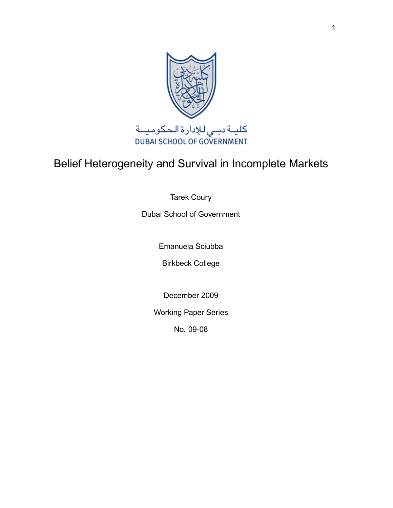

# Belief Heterogeneity and Survival in Incomplete Markets

Tarek Coury

### Dubai School of Government

Emanuela Sciubba

Birkbeck College

December 2009

Working Paper Series

No. 09-08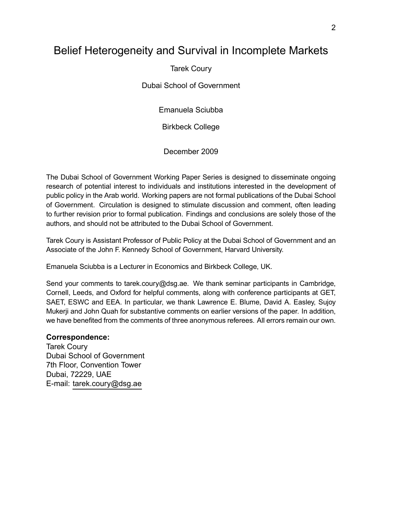# Belief Heterogeneity and Survival in Incomplete Markets

#### Tarek Coury

Dubai School of Government

Emanuela Sciubba

Birkbeck College

December 2009

The Dubai School of Government Working Paper Series is designed to disseminate ongoing research of potential interest to individuals and institutions interested in the development of public policy in the Arab world. Working papers are not formal publications of the Dubai School of Government. Circulation is designed to stimulate discussion and comment, often leading to further revision prior to formal publication. Findings and conclusions are solely those of the authors, and should not be attributed to the Dubai School of Government.

Tarek Coury is Assistant Professor of Public Policy at the Dubai School of Government and an Associate of the John F. Kennedy School of Government, Harvard University.

Emanuela Sciubba is a Lecturer in Economics and Birkbeck College, UK.

Send your comments to tarek.coury@dsg.ae. We thank seminar participants in Cambridge, Cornell, Leeds, and Oxford for helpful comments, along with conference participants at GET, SAET, ESWC and EEA. In particular, we thank Lawrence E. Blume, David A. Easley, Sujoy Mukerji and John Quah for substantive comments on earlier versions of the paper. In addition, we have benefited from the comments of three anonymous referees. All errors remain our own.

#### **Correspondence:**

Tarek Coury Dubai School of Government 7th Floor, Convention Tower Dubai, 72229, UAE E-mail: tarek.coury@dsg.ae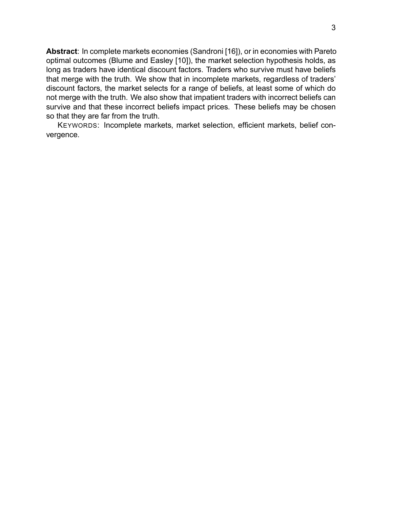**Abstract**: In complete markets economies (Sandroni [16]), or in economies with Pareto optimal outcomes (Blume and Easley [10]), the market selection hypothesis holds, as long as traders have identical discount factors. Traders who survive must have beliefs that merge with the truth. We show that in incomplete markets, regardless of traders' discount factors, the market selects for a range of beliefs, at least some of which do not merge with the truth. We also show that impatient traders with incorrect beliefs can survive and that these incorrect beliefs impact prices. These beliefs may be chosen so that they are far from the truth.

KEYWORDS: Incomplete markets, market selection, efficient markets, belief convergence.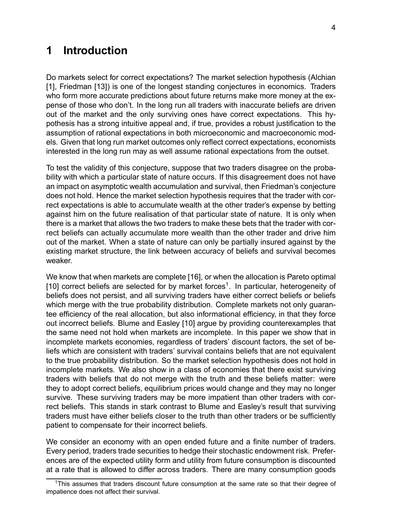# **1 Introduction**

Do markets select for correct expectations? The market selection hypothesis (Alchian [1], Friedman [13]) is one of the longest standing conjectures in economics. Traders who form more accurate predictions about future returns make more money at the expense of those who don't. In the long run all traders with inaccurate beliefs are driven out of the market and the only surviving ones have correct expectations. This hypothesis has a strong intuitive appeal and, if true, provides a robust justification to the assumption of rational expectations in both microeconomic and macroeconomic models. Given that long run market outcomes only reflect correct expectations, economists interested in the long run may as well assume rational expectations from the outset.

To test the validity of this conjecture, suppose that two traders disagree on the probability with which a particular state of nature occurs. If this disagreement does not have an impact on asymptotic wealth accumulation and survival, then Friedman's conjecture does not hold. Hence the market selection hypothesis requires that the trader with correct expectations is able to accumulate wealth at the other trader's expense by betting against him on the future realisation of that particular state of nature. It is only when there is a market that allows the two traders to make these bets that the trader with correct beliefs can actually accumulate more wealth than the other trader and drive him out of the market. When a state of nature can only be partially insured against by the existing market structure, the link between accuracy of beliefs and survival becomes weaker.

We know that when markets are complete [16], or when the allocation is Pareto optimal [10] correct beliefs are selected for by market forces<sup>1</sup>. In particular, heterogeneity of beliefs does not persist, and all surviving traders have either correct beliefs or beliefs which merge with the true probability distribution. Complete markets not only guarantee efficiency of the real allocation, but also informational efficiency, in that they force out incorrect beliefs. Blume and Easley [10] argue by providing counterexamples that the same need not hold when markets are incomplete. In this paper we show that in incomplete markets economies, regardless of traders' discount factors, the set of beliefs which are consistent with traders' survival contains beliefs that are not equivalent to the true probability distribution. So the market selection hypothesis does not hold in incomplete markets. We also show in a class of economies that there exist surviving traders with beliefs that do not merge with the truth and these beliefs matter: were they to adopt correct beliefs, equilibrium prices would change and they may no longer survive. These surviving traders may be more impatient than other traders with correct beliefs. This stands in stark contrast to Blume and Easley's result that surviving traders must have either beliefs closer to the truth than other traders or be sufficiently patient to compensate for their incorrect beliefs.

We consider an economy with an open ended future and a finite number of traders. Every period, traders trade securities to hedge their stochastic endowment risk. Preferences are of the expected utility form and utility from future consumption is discounted at a rate that is allowed to differ across traders. There are many consumption goods

<sup>&</sup>lt;sup>1</sup>This assumes that traders discount future consumption at the same rate so that their degree of impatience does not affect their survival.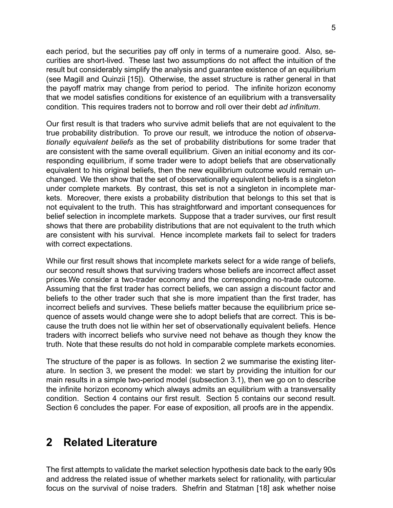each period, but the securities pay off only in terms of a numeraire good. Also, securities are short-lived. These last two assumptions do not affect the intuition of the result but considerably simplify the analysis and guarantee existence of an equilibrium (see Magill and Quinzii [15]). Otherwise, the asset structure is rather general in that the payoff matrix may change from period to period. The infinite horizon economy that we model satisfies conditions for existence of an equilibrium with a transversality condition. This requires traders not to borrow and roll over their debt *ad infinitum*.

Our first result is that traders who survive admit beliefs that are not equivalent to the true probability distribution. To prove our result, we introduce the notion of *observationally equivalent beliefs* as the set of probability distributions for some trader that are consistent with the same overall equilibrium. Given an initial economy and its corresponding equilibrium, if some trader were to adopt beliefs that are observationally equivalent to his original beliefs, then the new equilibrium outcome would remain unchanged. We then show that the set of observationally equivalent beliefs is a singleton under complete markets. By contrast, this set is not a singleton in incomplete markets. Moreover, there exists a probability distribution that belongs to this set that is not equivalent to the truth. This has straightforward and important consequences for belief selection in incomplete markets. Suppose that a trader survives, our first result shows that there are probability distributions that are not equivalent to the truth which are consistent with his survival. Hence incomplete markets fail to select for traders with correct expectations.

While our first result shows that incomplete markets select for a wide range of beliefs, our second result shows that surviving traders whose beliefs are incorrect affect asset prices.We consider a two-trader economy and the corresponding no-trade outcome. Assuming that the first trader has correct beliefs, we can assign a discount factor and beliefs to the other trader such that she is more impatient than the first trader, has incorrect beliefs and survives. These beliefs matter because the equilibrium price sequence of assets would change were she to adopt beliefs that are correct. This is because the truth does not lie within her set of observationally equivalent beliefs. Hence traders with incorrect beliefs who survive need not behave as though they know the truth. Note that these results do not hold in comparable complete markets economies.

The structure of the paper is as follows. In section 2 we summarise the existing literature. In section 3, we present the model: we start by providing the intuition for our main results in a simple two-period model (subsection 3.1), then we go on to describe the infinite horizon economy which always admits an equilibrium with a transversality condition. Section 4 contains our first result. Section 5 contains our second result. Section 6 concludes the paper. For ease of exposition, all proofs are in the appendix.

# **2 Related Literature**

The first attempts to validate the market selection hypothesis date back to the early 90s and address the related issue of whether markets select for rationality, with particular focus on the survival of noise traders. Shefrin and Statman [18] ask whether noise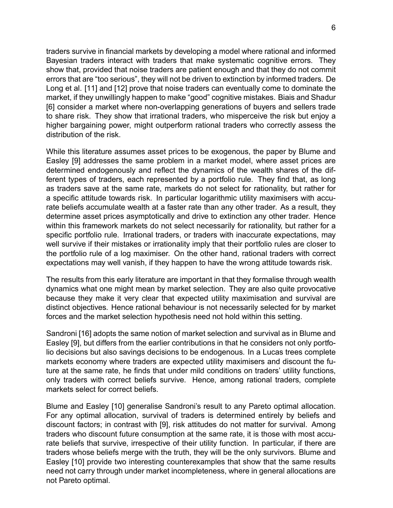traders survive in financial markets by developing a model where rational and informed Bayesian traders interact with traders that make systematic cognitive errors. They show that, provided that noise traders are patient enough and that they do not commit errors that are "too serious", they will not be driven to extinction by informed traders. De Long et al. [11] and [12] prove that noise traders can eventually come to dominate the market, if they unwillingly happen to make "good" cognitive mistakes. Biais and Shadur [6] consider a market where non-overlapping generations of buyers and sellers trade to share risk. They show that irrational traders, who misperceive the risk but enjoy a higher bargaining power, might outperform rational traders who correctly assess the distribution of the risk.

While this literature assumes asset prices to be exogenous, the paper by Blume and Easley [9] addresses the same problem in a market model, where asset prices are determined endogenously and reflect the dynamics of the wealth shares of the different types of traders, each represented by a portfolio rule. They find that, as long as traders save at the same rate, markets do not select for rationality, but rather for a specific attitude towards risk. In particular logarithmic utility maximisers with accurate beliefs accumulate wealth at a faster rate than any other trader. As a result, they determine asset prices asymptotically and drive to extinction any other trader. Hence within this framework markets do not select necessarily for rationality, but rather for a specific portfolio rule. Irrational traders, or traders with inaccurate expectations, may well survive if their mistakes or irrationality imply that their portfolio rules are closer to the portfolio rule of a log maximiser. On the other hand, rational traders with correct expectations may well vanish, if they happen to have the wrong attitude towards risk.

The results from this early literature are important in that they formalise through wealth dynamics what one might mean by market selection. They are also quite provocative because they make it very clear that expected utility maximisation and survival are distinct objectives. Hence rational behaviour is not necessarily selected for by market forces and the market selection hypothesis need not hold within this setting.

Sandroni [16] adopts the same notion of market selection and survival as in Blume and Easley [9], but differs from the earlier contributions in that he considers not only portfolio decisions but also savings decisions to be endogenous. In a Lucas trees complete markets economy where traders are expected utility maximisers and discount the future at the same rate, he finds that under mild conditions on traders' utility functions, only traders with correct beliefs survive. Hence, among rational traders, complete markets select for correct beliefs.

Blume and Easley [10] generalise Sandroni's result to any Pareto optimal allocation. For any optimal allocation, survival of traders is determined entirely by beliefs and discount factors; in contrast with [9], risk attitudes do not matter for survival. Among traders who discount future consumption at the same rate, it is those with most accurate beliefs that survive, irrespective of their utility function. In particular, if there are traders whose beliefs merge with the truth, they will be the only survivors. Blume and Easley [10] provide two interesting counterexamples that show that the same results need not carry through under market incompleteness, where in general allocations are not Pareto optimal.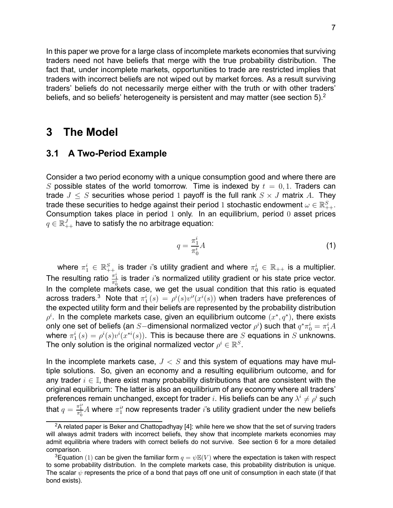In this paper we prove for a large class of incomplete markets economies that surviving traders need not have beliefs that merge with the true probability distribution. The fact that, under incomplete markets, opportunities to trade are restricted implies that traders with incorrect beliefs are not wiped out by market forces. As a result surviving traders' beliefs do not necessarily merge either with the truth or with other traders' beliefs, and so beliefs' heterogeneity is persistent and may matter (see section 5).<sup>2</sup>

## **3 The Model**

### **3.1 A Two-Period Example**

Consider a two period economy with a unique consumption good and where there are S possible states of the world tomorrow. Time is indexed by  $t = 0, 1$ . Traders can trade  $J \leq S$  securities whose period 1 payoff is the full rank  $S \times J$  matrix A. They trade these securities to hedge against their period  $1$  stochastic endowment  $\omega \in \mathbb{R}^S_{++}.$ Consumption takes place in period 1 only. In an equilibrium, period 0 asset prices  $q \in \mathbb{R}_{++}^J$  have to satisfy the no arbitrage equation:

$$
q = \frac{\pi_1^i}{\pi_0^i} A \tag{1}
$$

where  $\pi^i_1\,\in\,\mathbb{R}^S_{++}$  is trader  $i$ 's utility gradient and where  $\pi^i_0\,\in\,\mathbb{R}_{++}$  is a multiplier. The resulting ratio  $\frac{\pi_1^i}{\pi_0^i}$  is trader i's normalized utility gradient or his state price vector. In the complete markets case, we get the usual condition that this ratio is equated across traders.<sup>3</sup> Note that  $\pi^i_1\left(s\right)\,=\,\rho^i(s)v^{i\prime}(x^i(s))$  when traders have preferences of the expected utility form and their beliefs are represented by the probability distribution  $\rho^i$ . In the complete markets case, given an equilibrium outcome  $(x^*,q^*)$ , there exists only one set of beliefs (an  $S-$ dimensional normalized vector  $\rho^i$ ) such that  $q^*\pi^i_0=\pi^i_1A$ where  $\pi_1^i\left(s\right)=\rho^i(s)v^i(x^{*i}(s))$ . This is because there are S equations in S unknowns. The only solution is the original normalized vector  $\rho^i \in \mathbb{R}^S$ .

In the incomplete markets case,  $J < S$  and this system of equations may have multiple solutions. So, given an economy and a resulting equilibrium outcome, and for any trader  $i \in \mathbb{I}$ , there exist many probability distributions that are consistent with the original equilibrium: The latter is also an equilibrium of any economy where all traders' preferences remain unchanged, except for trader  $i.$  His beliefs can be any  $\lambda^i \neq \rho^i$  such that  $q = \frac{\pi_1^{i'} }{\pi_0^i} A$  where  $\pi_1^{i'}$  now represents trader i's utility gradient under the new beliefs

 $2A$  related paper is Beker and Chattopadhyay [4]: while here we show that the set of surving traders will always admit traders with incorrect beliefs, they show that incomplete markets economies may admit equilibria where traders with correct beliefs do not survive. See section 6 for a more detailed comparison.

<sup>&</sup>lt;sup>3</sup>Equation (1) can be given the familiar form  $q = \psi \mathbb{E}(V)$  where the expectation is taken with respect to some probability distribution. In the complete markets case, this probability distribution is unique. The scalar  $\psi$  represents the price of a bond that pays off one unit of consumption in each state (if that bond exists).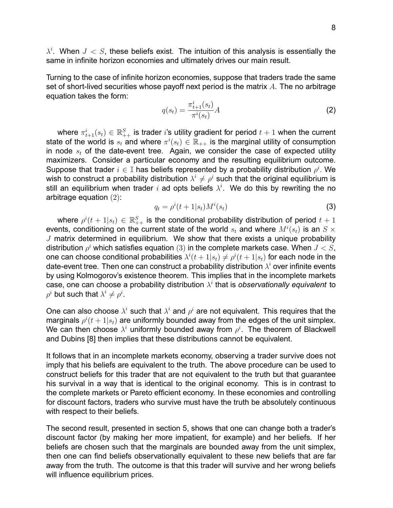$\lambda^i$ . When  $J < S$ , these beliefs exist. The intuition of this analysis is essentially the same in infinite horizon economies and ultimately drives our main result.

Turning to the case of infinite horizon economies, suppose that traders trade the same set of short-lived securities whose payoff next period is the matrix A. The no arbitrage equation takes the form:

$$
q(s_t) = \frac{\pi_{t+1}^i(s_t)}{\pi^i(s_t)} A
$$
 (2)

where  $\pi^i_{t+1}(s_t) \in \mathbb{R}^S_{++}$  is trader  $i$ 's utility gradient for period  $t+1$  when the current state of the world is  $s_t$  and where  $\pi^i(s_t) \in \mathbb{R}_{++}$  is the marginal utility of consumption in node  $s_t$  of the date-event tree. Again, we consider the case of expected utility maximizers. Consider a particular economy and the resulting equilibrium outcome. Suppose that trader  $i \in \mathbb{I}$  has beliefs represented by a probability distribution  $\rho^i$ . We wish to construct a probability distribution  $\lambda^i \neq \rho^i$  such that the original equilibrium is still an equilibrium when trader i ad opts beliefs  $\lambda^i$ . We do this by rewriting the no arbitrage equation (2):

$$
q_t = \rho^i(t+1|s_t)M^i(s_t)
$$
\n(3)

where  $\rho^i(t+1|s_t)\,\in\,\mathbb{R}^S_{++}$  is the conditional probability distribution of period  $t+1$ events, conditioning on the current state of the world  $s_t$  and where  $M^i(s_t)$  is an  $S\times$  $J$  matrix determined in equilibrium. We show that there exists a unique probability distribution  $\rho^i$  which satisfies equation  $(3)$  in the complete markets case. When  $J < S,$ one can choose conditional probabilities  $\lambda^i(t+1|s_t) \neq \rho^i(t+1|s_t)$  for each node in the date-event tree. Then one can construct a probability distribution  $\lambda^i$  over infinite events by using Kolmogorov's existence theorem. This implies that in the incomplete markets case, one can choose a probability distribution  $\lambda^i$  that is *observationally equivalent* to  $\rho^i$  but such that  $\lambda^i\neq\rho^i.$ 

One can also choose  $\lambda^i$  such that  $\lambda^i$  and  $\rho^i$  are not equivalent. This requires that the marginals  $\rho^i(t+1|s_t)$  are uniformly bounded away from the edges of the unit simplex. We can then choose  $\lambda^i$  uniformly bounded away from  $\rho^i$ . The theorem of Blackwell and Dubins [8] then implies that these distributions cannot be equivalent.

It follows that in an incomplete markets economy, observing a trader survive does not imply that his beliefs are equivalent to the truth. The above procedure can be used to construct beliefs for this trader that are not equivalent to the truth but that guarantee his survival in a way that is identical to the original economy. This is in contrast to the complete markets or Pareto efficient economy. In these economies and controlling for discount factors, traders who survive must have the truth be absolutely continuous with respect to their beliefs.

The second result, presented in section 5, shows that one can change both a trader's discount factor (by making her more impatient, for example) and her beliefs. If her beliefs are chosen such that the marginals are bounded away from the unit simplex, then one can find beliefs observationally equivalent to these new beliefs that are far away from the truth. The outcome is that this trader will survive and her wrong beliefs will influence equilibrium prices.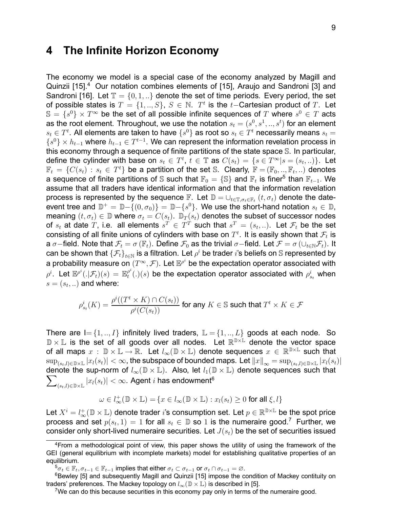### **4 The Infinite Horizon Economy**

The economy we model is a special case of the economy analyzed by Magill and Quinzii [15].<sup>4</sup> Our notation combines elements of [15], Araujo and Sandroni [3] and Sandroni [16]. Let  $\mathbb{T} = \{0, 1, \ldots\}$  denote the set of time periods. Every period, the set of possible states is  $T = \{1, ..., S\}$ ,  $S \in \mathbb{N}$ .  $T<sup>t</sup>$  is the t-Cartesian product of  $T$ . Let  $\mathbb{S}=\{s^0\}\times T^\infty$  be the set of all possible infinite sequences of  $T$  where  $s^0\in T$  acts as the root element. Throughout, we use the notation  $s_t = (s^0, s^1,..,s^t)$  for an element  $s_t \in T^t.$  All elements are taken to have  $\{s^0\}$  as root so  $s_t \in T^t$  necessarily means  $s_t =$  $\{s^0\}\times h_{t-1}$  where  $h_{t-1}\in T^{t-1}.$  We can represent the information revelation process in this economy through a sequence of finite partitions of the state space S. In particular, define the cylinder with base on  $s_t \in T^t$ ,  $t \in \mathbb{T}$  as  $C(s_t) = \{s \in T^\infty | s = (s_t, \ldots )\}$ . Let  $\mathbb{F}_t = \{C(s_t) : s_t \in T^t\}$  be a partition of the set S. Clearly,  $\mathbb{F} = (\mathbb{F}_0, ..., \mathbb{F}_t, ...)$  denotes a sequence of finite partitions of S such that  $\mathbb{F}_0 = \{\mathbb{S}\}$  and  $\mathbb{F}_t$  is finer<sup>5</sup> than  $\mathbb{F}_{t-1}$ . We assume that all traders have identical information and that the information revelation process is represented by the sequence  $\mathbb{F}$ . Let  $\mathbb{D} = \cup_{t \in \mathbb{T}, \sigma_t \in \mathbb{F}_t} (t, \sigma_t)$  denote the dateevent tree and  $\mathbb{D}^+=\mathbb{D}-\{(0,\sigma_0)\}=\mathbb{D}-\{s^0\}$ . We use the short-hand notation  $s_t\in\mathbb{D}$ , meaning  $(t, \sigma_t) \in \mathbb{D}$  where  $\sigma_t = C(s_t)$ .  $\mathbb{D}_T(s_t)$  denotes the subset of successor nodes of  $s_t$  at date  $T$ , i.e. all elements  $s^T \in T^T$  such that  $s^T = (s_t, ...)$ . Let  $\mathcal{F}_t$  be the set consisting of all finite unions of cylinders with base on  $T^t.$  It is easily shown that  $\mathcal{F}_t$  is a σ−field. Note that  $\mathcal{F}_t = \sigma(\mathbb{F}_t)$ . Define  $\mathcal{F}_0$  as the trivial  $\sigma$ -field. Let  $\mathcal{F} = \sigma(\cup_{t\in\mathbb{N}}\mathcal{F}_t)$ . It can be shown that  $\{\mathcal{F}_t\}_{t\in\mathbb{N}}$  is a filtration. Let  $\rho^i$  be trader  $i$ 's beliefs on  $\mathbb S$  represented by a probability measure on  $(T^{\infty}, \mathcal{F}).$  Let  $\mathbb{E}^{\rho^i}$  be the expectation operator associated with  $\rho^i$ . Let  $\mathbb{E}^{\rho^i}(.|\mathcal{F}_t)(s)$   $=$   $\mathbb{E}^{\rho^i}_t$  $\rho_t^{\rho^*}(.)(s)$  be the expectation operator associated with  $\rho^i_{s_t}$  when  $s=(s_t,..)$  and where:

$$
\rho^i_{s_t}(K) = \frac{\rho^i((T^t \times K) \cap C(s_t))}{\rho^i(C(s_t))} \text{ for any } K \in \mathbb{S} \text{ such that } T^t \times K \in \mathcal{F}
$$

There are  $I = \{1, ..., I\}$  infinitely lived traders,  $L = \{1, ..., L\}$  goods at each node. So  $\mathbb{D} \times \mathbb{L}$  is the set of all goods over all nodes. Let  $\mathbb{R}^{\mathbb{D} \times \mathbb{L}}$  denote the vector space of all maps  $x : \mathbb{D} \times \mathbb{L} \to \mathbb{R}$ . Let  $l_{\infty}(\mathbb{D} \times \mathbb{L})$  denote sequences  $x \in \mathbb{R}^{\mathbb{D} \times \mathbb{L}}$  such that  $\sup_{(s_t,l)\in\mathbb{D}\times\mathbb{L}}|x_l(s_t)|<\infty,$  the subspace of bounded maps. Let  $\|x\|_\infty=\sup_{(s_t,l)\in\mathbb{D}\times\mathbb{L}}|x_l(s_t)|$  $\sum$ denote the sup-norm of  $l_{\infty}(\mathbb{D} \times \mathbb{L})$ . Also, let  $l_1(\mathbb{D} \times \mathbb{L})$  denote sequences such that  $\left| {{\left( {{s_t},l} \right)} \!\!\in \! \mathbb{D}_{\mathbf{X}}}\right\|{x_l}({s_t}){\rm{ }}\right| < \infty .$  Agent  $i$  has endowment $^6$ 

$$
\omega \in l^+_\infty(\mathbb D \times \mathbb L) = \{x \in l_\infty(\mathbb D \times \mathbb L): x_l(s_t) \geq 0 \text{ for all } \xi,l\}
$$

Let  $X^i=l^+_\infty(\mathbb D\times\mathbb L)$  denote trader  $i$ 's consumption set. Let  $p\in\mathbb R^{\mathbb D\times\mathbb L}$  be the spot price process and set  $p(s_t, 1) = 1$  for all  $s_t \in \mathbb{D}$  so 1 is the numeraire good.<sup>7</sup> Further, we consider only short-lived numeraire securities. Let  $J(s_t)$  be the set of securities issued

<sup>4</sup>From a methodological point of view, this paper shows the utility of using the framework of the GEI (general equilibrium with incomplete markets) model for establishing qualitative properties of an equilibrium.

 $^5\sigma_t\in \mathbb{F}_t, \sigma_{t-1}\in \mathbb{F}_{t-1}$  implies that either  $\sigma_t\subset \sigma_{t-1}$  or  $\sigma_t\cap \sigma_{t-1}=\varnothing.$ 

<sup>&</sup>lt;sup>6</sup>Bewley [5] and subsequently Magill and Quinzii [15] impose the condition of Mackey contituity on traders' preferences. The Mackey topology on  $l_{\infty}(\mathbb{D} \times \mathbb{L})$  is described in [5].

<sup>&</sup>lt;sup>7</sup>We can do this because securities in this economy pay only in terms of the numeraire good.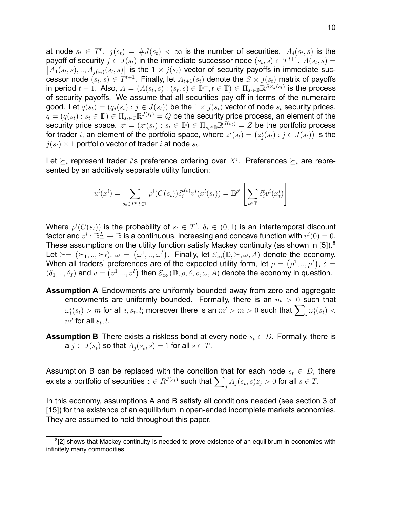at node  $s_t \,\in\, T^t.$   $\,j(s_t)\,=\,\# J(s_t)\,<\,\infty$  is the number of securities.  $\,A_j(s_t,s)\,$  is the payoff of security  $j \in J(s_t)$  in the immediate successor node  $(s_t,s) \in T^{t+1}.$   $A(s_t,s) =$  $[A_1(s_t, s), ..., A_{j(s_t)}(s_t, s)]$  is the  $1 \times j(s_t)$  vector of security payoffs in immediate successor node  $(s_t,s)\in T^{t+1}.$  Finally, let  $A_{t+1}(s_t)$  denote the  $S\times j(s_t)$  matrix of payoffs in period  $t+1$ . Also,  $A=(A(s_t,s):(s_t,s)\in\mathbb{D}^+, t\in\mathbb{T})\in\Pi_{s_t\in\mathbb{D}}\mathbb{R}^{S\times j(s_t)}$  is the process of security payoffs. We assume that all securities pay off in terms of the numeraire good. Let  $q(s_t) = (q_i(s_t) : j \in J(s_t))$  be the  $1 \times j(s_t)$  vector of node  $s_t$  security prices.  $q = (q(s_t) : s_t \in \mathbb{D}) \in \Pi_{s_t \in \mathbb{D}} \mathbb{R}^{J(s_t)} = Q$  be the security price process, an element of the security price space.  $z^i=(z^i(s_t):s_t\in\mathbb{D})\in \Pi_{s_t\in\mathbb{D}}\mathbb{R}^{J(s_t)}=Z$  be the portfolio process for trader  $i$ , an element of the portfolio space, where  $z^i(s_t) = \left(z^i_j(s_t) : j \in J(s_t)\right)$  is the  $j(s_t) \times 1$  portfolio vector of trader  $i$  at node  $s_t.$ 

Let  $\succeq_i$  represent trader i's preference ordering over  $X^i$ . Preferences  $\succeq_i$  are represented by an additively separable utility function:

$$
u^{i}(x^{i}) = \sum_{s_{t} \in T^{t}, t \in \mathbb{T}} \rho^{i}(C(s_{t})) \delta_{i}^{t(s)} v^{i}(x^{i}(s_{t})) = \mathbb{E}^{\rho^{i}} \left[ \sum_{t \in \mathbb{T}} \delta_{i}^{t} v^{i}(x_{t}^{i}) \right]
$$

Where  $\rho^i(C(s_t))$  is the probability of  $s_t \in T^t, \ \delta_i \in (0,1)$  is an intertemporal discount factor and  $v^i:\mathbb{R}_+^L\to\mathbb{R}$  is a continuous, increasing and concave function with  $v^i(0)=0$ . These assumptions on the utility function satisfy Mackey continuity (as shown in [5]).<sup>8</sup> Let  $\succeq = (\succeq_1, ..., \succeq_I)$ ,  $\omega = (\omega^1, ..., \omega^I)$ . Finally, let  $\mathcal{E}_{\infty}(\mathbb{D}, \succeq, \omega, A)$  denote the economy. When all traders' preferences are of the expected utility form, let  $\rho = (\rho^1,..,\rho^I), \ \delta =$  $(\delta_1,..,\delta_I)$  and  $v=(v^1,..,v^I)$  then  $\mathcal{E}_{\infty}(\mathbb{D},\rho,\delta,v,\omega,A)$  denote the economy in question.

- **Assumption A** Endowments are uniformly bounded away from zero and aggregate endowments are uniformly bounded. Formally, there is an  $m > 0$  such that  $\omega_l^i(s_t) > m$  for all  $i, s_t, l$ ; moreover there is an  $m' > m > 0$  such that  $\sum_i \omega_l^i(s_t) <$  $m'$  for all  $s_t, l$ .
- **Assumption B** There exists a riskless bond at every node  $s_t \in D$ . Formally, there is a  $j\in J(s_t)$  so that  $A_j(s_t,s)=1$  for all  $s\in T.$

Assumption B can be replaced with the condition that for each node  $s_t \in D$ , there exists a portfolio of securities  $z \in R^{J(s_t)}$  such that  $\sum\nolimits_j A_j(s_t,s)z_j > 0$  for all  $s \in T$ .

In this economy, assumptions A and B satisfy all conditions needed (see section 3 of [15]) for the existence of an equilibrium in open-ended incomplete markets economies. They are assumed to hold throughout this paper.

<sup>&</sup>lt;sup>8</sup>[2] shows that Mackey continuity is needed to prove existence of an equilibrum in economies with infinitely many commodities.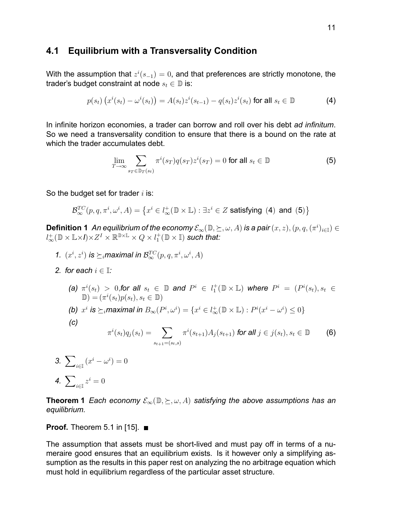### **4.1 Equilibrium with a Transversality Condition**

With the assumption that  $z^i(s_{-1})=0,$  and that preferences are strictly monotone, the trader's budget constraint at node  $s_t \in \mathbb{D}$  is:

$$
p(s_t) (x^i(s_t) - \omega^i(s_t)) = A(s_t) z^i(s_{t-1}) - q(s_t) z^i(s_t) \text{ for all } s_t \in \mathbb{D}
$$
 (4)

In infinite horizon economies, a trader can borrow and roll over his debt *ad infinitum*. So we need a transversality condition to ensure that there is a bound on the rate at which the trader accumulates debt.

$$
\lim_{T \to \infty} \sum_{s_T \in \mathbb{D}_T(s_t)} \pi^i(s_T) q(s_T) z^i(s_T) = 0 \text{ for all } s_t \in \mathbb{D}
$$
 (5)

So the budget set for trader  $i$  is:

$$
\mathcal{B}^{TC}_{\infty}(p,q,\pi^i,\omega^i,A)=\left\{x^i\in l^+_{\infty}(\mathbb{D}\times\mathbb{L}): \exists z^i\in Z \text{ satisfying (4) and (5)}\right\}
$$

**Definition 1** An equilibrium of the economy  $\mathcal{E}_{\infty}(\mathbb{D}, \succeq, \omega, A)$  is a pair  $(x, z), (p, q, (\pi^i)_{i \in \mathbb{I}}) \in$  $l^+_\infty(\mathbb{D}\times\mathbb{L}\times I)\times Z^I\times\mathbb{R}^{\mathbb{D}\times\mathbb{L}}\times Q\times l^+_1(\mathbb{D}\times\mathbb{I})$  such that:

- 1.  $(x^i, z^i)$  *is*  $\succeq_i$ *maximal in*  $\mathcal{B}^{TC}_{\infty}(p, q, \pi^i, \omega^i, A)$
- 2. for each  $i \in \mathbb{I}$ :

\n- (a) 
$$
\pi^i(s_t) > 0
$$
, for all  $s_t \in \mathbb{D}$  and  $P^i \in l_1^+(\mathbb{D} \times \mathbb{L})$  where  $P^i = (P^i(s_t), s_t \in \mathbb{D})$
\n- (b)  $x^i$  is  $\geq_i$  maximal in  $B_\infty(P^i, \omega^i) = \{x^i \in l_\infty^+(\mathbb{D} \times \mathbb{L}) : P^i(x^i - \omega^i) \leq 0\}$
\n- (c)  $\pi^i(s_t)q_j(s_t) = \sum_{s_{t+1}=(s_t,s)} \pi^i(s_{t+1})A_j(s_{t+1})$  for all  $j \in j(s_t), s_t \in \mathbb{D}$
\n- (6)
\n

3. 
$$
\sum_{i \in \mathbb{I}} (x^i - \omega^i) = 0
$$
  
4. 
$$
\sum_{i \in \mathbb{I}} z^i = 0
$$

**Theorem 1** *Each economy*  $\mathcal{E}_{\infty}(\mathbb{D}, \succeq, \omega, A)$  *satisfying the above assumptions has an equilibrium.*

#### **Proof.** Theorem 5.1 in [15]. ■

The assumption that assets must be short-lived and must pay off in terms of a numeraire good ensures that an equilibrium exists. Is it however only a simplifying assumption as the results in this paper rest on analyzing the no arbitrage equation which must hold in equilibrium regardless of the particular asset structure.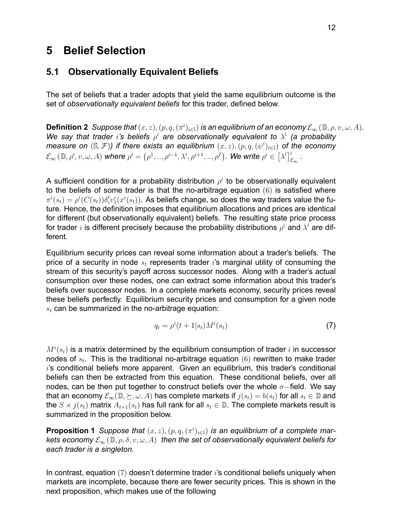# **5 Belief Selection**

### **5.1 Observationally Equivalent Beliefs**

The set of beliefs that a trader adopts that yield the same equilibrium outcome is the set of *observationally equivalent beliefs* for this trader, defined below.

**Definition 2** Suppose that  $(x, z)$ ,  $(p, q, (\pi^i)_{i \in I})$  is an equilibrium of an economy  $\mathcal{E}_{\infty}(\mathbb{D}, \rho, v, \omega, A)$ . We say that trader *i*'s beliefs  $\rho^i$  are observationally equivalent to  $\lambda^i$  (a probability  $\bm{m}$ easure on  $(\mathbb{S},\mathcal{F})$ ) if there exists an equilibrium  $(x,z), (p,q,(\psi^i)_{i\in\mathbb{I}})$  of the economy  $\mathcal{E}_\infty\left(\mathbb{D},\rho',v,\omega,A\right)$  where  $\rho'=\left(\rho^1,..,\rho^{i-1},\lambda^i,\rho^{i+1},..,\rho^I\right)$ . We write  $\rho^i\in\left[\lambda^i\right]^i_{\mathcal{E}_\infty}$  .

A sufficient condition for a probability distribution  $\rho^i$  to be observationally equivalent to the beliefs of some trader is that the no-arbitrage equation (6) is satisfied where  $\pi^i(s_t) = \rho^i(C(s_t)) \delta^t_i$  ${}_i^tv_1^i(x^i(s_t))$ . As beliefs change, so does the way traders value the future. Hence, the definition imposes that equilibrium allocations and prices are identical for different (but observationally equivalent) beliefs. The resulting state price process for trader  $i$  is different precisely because the probability distributions  $\rho^i$  and  $\lambda^i$  are different.

Equilibrium security prices can reveal some information about a trader's beliefs. The price of a security in node  $s_t$  represents trader is marginal utility of consuming the stream of this security's payoff across successor nodes. Along with a trader's actual consumption over these nodes, one can extract some information about this trader's beliefs over successor nodes. In a complete markets economy, security prices reveal these beliefs perfectly. Equilibrium security prices and consumption for a given node  $s_t$  can be summarized in the no-arbitrage equation:

$$
q_t = \rho^i(t+1|s_t)M^i(s_t)
$$
\n<sup>(7)</sup>

 $M^i(s_t)$  is a matrix determined by the equilibrium consumption of trader  $i$  in successor nodes of  $s_t$ . This is the traditional no-arbitrage equation  $(6)$  rewritten to make trader i's conditional beliefs more apparent. Given an equilibrium, this trader's conditional beliefs can then be extracted from this equation. These conditional beliefs, over all nodes, can be then put together to construct beliefs over the whole  $\sigma$ -field. We say that an economy  $\mathcal{E}_{\infty}(\mathbb{D}, \succ, \omega, A)$  has complete markets if  $j(s_t) = b(s_t)$  for all  $s_t \in \mathbb{D}$  and the  $S \times j(s_t)$  matrix  $A_{t+1}(s_t)$  has full rank for all  $s_t \in \mathbb{D}$ . The complete markets result is summarized in the proposition below.

**Proposition 1** Suppose that  $(x, z)$ ,  $(p, q, (\pi^i)_{i \in I})$  is an equilibrium of a complete mar*kets economy*  $\mathcal{E}_{\infty}(\mathbb{D}, \rho, \delta, v, \omega, A)$  *then the set of observationally equivalent beliefs for each trader is a singleton.*

In contrast, equation  $(7)$  doesn't determine trader is conditional beliefs uniquely when markets are incomplete, because there are fewer security prices. This is shown in the next proposition, which makes use of the following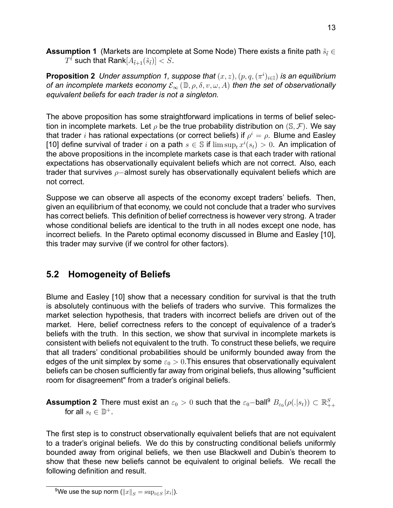**Assumption 1** (Markets are Incomplete at Some Node) There exists a finite path  $\tilde{s}_{\tilde{t}} \in$  $T^{\tilde{t}}$  such that Rank $[A_{\tilde{t}+1}(\tilde{s}_{\tilde{t}})] < S.$ 

**Proposition 2** Under assumption 1, suppose that  $(x, z), (p, q, (\pi^i)_{i ∈ I})$  is an equilibrium *of an incomplete markets economy*  $\mathcal{E}_{\infty}(\mathbb{D}, \rho, \delta, v, \omega, A)$  *then the set of observationally equivalent beliefs for each trader is not a singleton.*

The above proposition has some straightforward implications in terms of belief selection in incomplete markets. Let  $\rho$  be the true probability distribution on (S, F). We say that trader  $i$  has rational expectations (or correct beliefs) if  $\rho^i=\rho.$  Blume and Easley [10] define survival of trader  $i$  on a path  $s\in \mathbb{S}$  if  $\limsup_{t}x^{i}(s_{t})>0.$  An implication of the above propositions in the incomplete markets case is that each trader with rational expectations has observationally equivalent beliefs which are not correct. Also, each trader that survives ρ−almost surely has observationally equivalent beliefs which are not correct.

Suppose we can observe all aspects of the economy except traders' beliefs. Then, given an equilibrium of that economy, we could not conclude that a trader who survives has correct beliefs. This definition of belief correctness is however very strong. A trader whose conditional beliefs are identical to the truth in all nodes except one node, has incorrect beliefs. In the Pareto optimal economy discussed in Blume and Easley [10], this trader may survive (if we control for other factors).

### **5.2 Homogeneity of Beliefs**

Blume and Easley [10] show that a necessary condition for survival is that the truth is absolutely continuous with the beliefs of traders who survive. This formalizes the market selection hypothesis, that traders with incorrect beliefs are driven out of the market. Here, belief correctness refers to the concept of equivalence of a trader's beliefs with the truth. In this section, we show that survival in incomplete markets is consistent with beliefs not equivalent to the truth. To construct these beliefs, we require that all traders' conditional probabilities should be uniformly bounded away from the edges of the unit simplex by some  $\varepsilon_0 > 0$ . This ensures that observationally equivalent beliefs can be chosen sufficiently far away from original beliefs, thus allowing "sufficient room for disagreement" from a trader's original beliefs.

**Assumption 2** There must exist an  $\varepsilon_0 > 0$  such that the  $\varepsilon_0$ -ball<sup>9</sup>  $B_{\varepsilon_0}(\rho(.|s_t)) \subset \mathbb{R}^S_{++}$ for all  $s_t \in \mathbb{D}^+$ .

The first step is to construct observationally equivalent beliefs that are not equivalent to a trader's original beliefs. We do this by constructing conditional beliefs uniformly bounded away from original beliefs, we then use Blackwell and Dubin's theorem to show that these new beliefs cannot be equivalent to original beliefs. We recall the following definition and result.

 $^{9}$ We use the sup norm ( $\left\Vert x\right\Vert _{S}=\sup_{i\in S}\left\vert x_{i}\right\vert ).$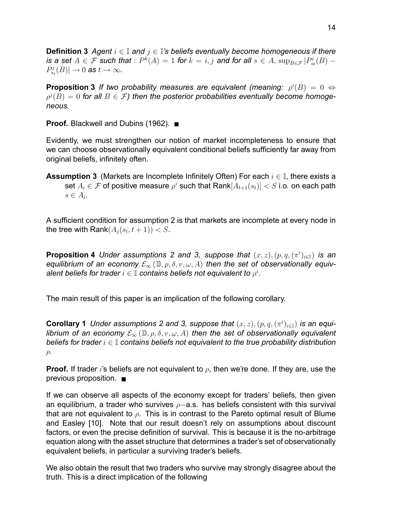**Definition 3** *Agent*  $i \in \mathbb{I}$  and  $j \in \mathbb{I}$ 's beliefs eventually become homogeneous if there  $i$ s a set  $A\in\mathcal{F}$  such that  $:P^k(A)=1$  for  $k=i,j$  and for all  $s\in A,\, \sup_{B\in\mathcal{F}}|P^i_{s_t}(B)-1$  $P_{s_t}^j(B)| \to 0$  **as**  $t \to \infty$ .

**Proposition 3** If two probability measures are equivalent (meaning:  $\rho^{i}(B) = 0 \Leftrightarrow$  $\rho^j(B)=0$  for all  $B\in\mathcal{F} )$  then the posterior probabilities eventually become homoge*neous.*

**Proof.** Blackwell and Dubins (1962). ■

Evidently, we must strengthen our notion of market incompleteness to ensure that we can choose observationally equivalent conditional beliefs sufficiently far away from original beliefs, infinitely often.

**Assumption 3** (Markets are Incomplete Infinitely Often) For each  $i \in I$ , there exists a set  $A_i \in \mathcal{F}$  of positive measure  $\rho^i$  such that  $\mathsf{Rank}[A_{t+1}(s_t)] < S$  i.o. on each path  $s \in A_i$ .

A sufficient condition for assumption 2 is that markets are incomplete at every node in the tree with  $\mathsf{Rank}(A_j(s_t,t+1)) < S.$ 

**Proposition 4** Under assumptions 2 and 3, suppose that  $(x, z), (p, q, (\pi^i)_{i \in \mathbb{I}})$  is an equilibrium of an economy  $\mathcal{E}_{\infty}(\mathbb{D},\rho,\delta,v,\omega,A)$  then the set of observationally equivalent beliefs for trader  $i \in \mathbb{I}$  contains beliefs not equivalent to  $\rho^i.$ 

The main result of this paper is an implication of the following corollary.

**Corollary 1** Under assumptions 2 and 3, suppose that  $(x, z), (p, q, (\pi^i)_{i \in \mathbb{I}})$  is an equi*librium of an economy*  $\mathcal{E}_{\infty}(\mathbb{D}, \rho, \delta, v, \omega, A)$  *then the set of observationally equivalent beliefs for trader* i ∈ I *contains beliefs not equivalent to the true probability distribution*  $\rho$ .

**Proof.** If trader i's beliefs are not equivalent to  $\rho$ , then we're done. If they are, use the previous proposition.

If we can observe all aspects of the economy except for traders' beliefs, then given an equilibrium, a trader who survives  $\rho$ -a.s. has beliefs consistent with this survival that are not equivalent to  $\rho$ . This is in contrast to the Pareto optimal result of Blume and Easley [10]. Note that our result doesn't rely on assumptions about discount factors, or even the precise definition of survival. This is because it is the no-arbitrage equation along with the asset structure that determines a trader's set of observationally equivalent beliefs, in particular a surviving trader's beliefs.

We also obtain the result that two traders who survive may strongly disagree about the truth. This is a direct implication of the following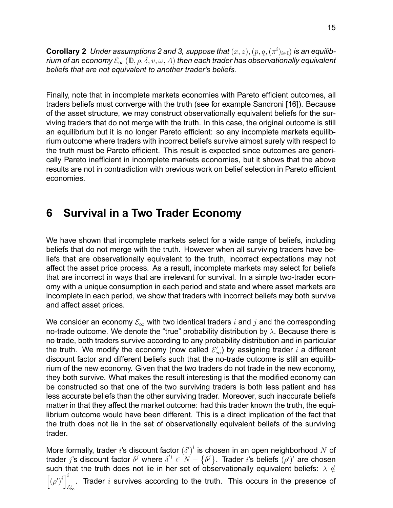$\bf{Corollary 2}$  Under assumptions 2 and 3, suppose that  $(x,z), (p,q,(\pi^i)_{i\in\Bbb I})$  is an equilib*rium of an economy*  $\mathcal{E}_{\infty}(\mathbb{D}, \rho, \delta, v, \omega, A)$  *then each trader has observationally equivalent beliefs that are not equivalent to another trader's beliefs.*

Finally, note that in incomplete markets economies with Pareto efficient outcomes, all traders beliefs must converge with the truth (see for example Sandroni [16]). Because of the asset structure, we may construct observationally equivalent beliefs for the surviving traders that do not merge with the truth. In this case, the original outcome is still an equilibrium but it is no longer Pareto efficient: so any incomplete markets equilibrium outcome where traders with incorrect beliefs survive almost surely with respect to the truth must be Pareto efficient. This result is expected since outcomes are generically Pareto inefficient in incomplete markets economies, but it shows that the above results are not in contradiction with previous work on belief selection in Pareto efficient economies.

# **6 Survival in a Two Trader Economy**

We have shown that incomplete markets select for a wide range of beliefs, including beliefs that do not merge with the truth. However when all surviving traders have beliefs that are observationally equivalent to the truth, incorrect expectations may not affect the asset price process. As a result, incomplete markets may select for beliefs that are incorrect in ways that are irrelevant for survival. In a simple two-trader economy with a unique consumption in each period and state and where asset markets are incomplete in each period, we show that traders with incorrect beliefs may both survive and affect asset prices.

We consider an economy  $\mathcal{E}_{\infty}$  with two identical traders i and j and the corresponding no-trade outcome. We denote the "true" probability distribution by  $\lambda$ . Because there is no trade, both traders survive according to any probability distribution and in particular the truth. We modify the economy (now called  $\mathcal{E}^{\prime}_{\infty}$ ) by assigning trader  $i$  a different discount factor and different beliefs such that the no-trade outcome is still an equilibrium of the new economy. Given that the two traders do not trade in the new economy, they both survive. What makes the result interesting is that the modified economy can be constructed so that one of the two surviving traders is both less patient and has less accurate beliefs than the other surviving trader. Moreover, such inaccurate beliefs matter in that they affect the market outcome: had this trader known the truth, the equilibrium outcome would have been different. This is a direct implication of the fact that the truth does not lie in the set of observationally equivalent beliefs of the surviving trader.

More formally, trader i's discount factor  $(\delta')^i$  is chosen in an open neighborhood N of trader j's discount factor  $\delta^j$  where  $\delta^{'i} \in N - \{\delta^j\}$ . Trader i's beliefs  $(\rho')^i$  are chosen such that the truth does not lie in her set of observationally equivalent beliefs:  $\lambda \notin$  $[(\rho')^i]^i$ Fig. . Trader i survives according to the truth. This occurs in the presence of  $\varepsilon_{\infty}$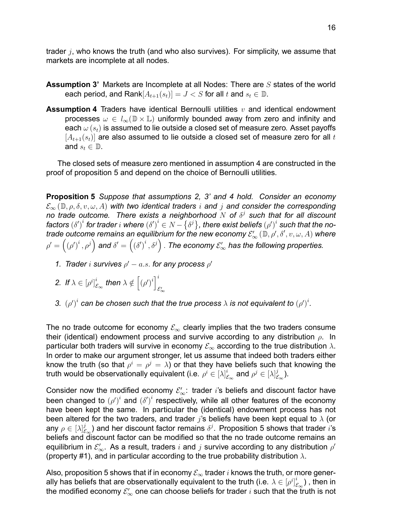trader  $j$ , who knows the truth (and who also survives). For simplicity, we assume that markets are incomplete at all nodes.

- **Assumption 3'** Markets are Incomplete at all Nodes: There are S states of the world each period, and Rank $[A_{t+1}(s_t)] = J < S$  for all t and  $s_t \in \mathbb{D}$ .
- **Assumption 4** Traders have identical Bernoulli utilities v and identical endowment processes  $\omega \in l_{\infty}(\mathbb{D} \times \mathbb{L})$  uniformly bounded away from zero and infinity and each  $\omega(s_t)$  is assumed to lie outside a closed set of measure zero. Asset payoffs  $[A_{t+1}(s_t)]$  are also assumed to lie outside a closed set of measure zero for all t and  $s_t \in \mathbb{D}$ .

The closed sets of measure zero mentioned in assumption 4 are constructed in the proof of proposition 5 and depend on the choice of Bernoulli utilities.

**Proposition 5** *Suppose that assumptions 2, 3' and 4 hold. Consider an economy*  $\mathcal{E}_{\infty}$  ( $\mathbb{D}, \rho, \delta, v, \omega, A$ ) with two identical traders i and j and consider the corresponding *no trade outcome. There exists a neighborhood*  $N$  *of*  $\delta^j$  *such that for all discount* factors  ${(\delta')}^i$  for trader  $i$  where  ${(\delta')}^i \in N-\{ \delta^j \}$ , there exist beliefs  ${(\rho')}^i$  such that the notrade outcome remains an equilibrium for the new economy  $\mathcal{E}'_\infty(\mathbb{D},\rho',\delta',v,\omega,A)$  where  $\rho'=\left(\left(\rho'\right)^i,\rho^j\right)$  and  $\delta'=\left(\left(\delta'\right)^i,\delta^j\right)$  . The economy  $\mathcal{E}'_\infty$  has the following properties.

- 1. Trader *i* survives  $\rho' a.s.$  for any process  $\rho'$
- 2. If  $\lambda \in [\rho^i]_s^i$  $\stackrel{i}{\varepsilon}_{\infty}$  then  $\lambda \notin \left [ \left ( \rho' \right )^i \right ]^i$  $\mathcal{E}'_\infty$
- 3.  $(\rho')^i$  can be chosen such that the true process  $\lambda$  is not equivalent to  $(\rho')^i$ .

The no trade outcome for economy  $\mathcal{E}_{\infty}$  clearly implies that the two traders consume their (identical) endowment process and survive according to any distribution  $\rho$ . In particular both traders will survive in economy  $\mathcal{E}_{\infty}$  according to the true distribution  $\lambda$ . In order to make our argument stronger, let us assume that indeed both traders either know the truth (so that  $\rho^i=\rho^j=\lambda)$  or that they have beliefs such that knowing the truth would be observationally equivalent (i.e.  $\rho^i \in [\lambda]_k^i$  $\stackrel{i}{\varepsilon}_\infty$  and  $\rho^j\in[\lambda]^j_\mathcal{E}$  $^{\jmath}_{\mathcal{E}_{\infty}}$  ).

Consider now the modified economy  $\mathcal{E}'_{\infty}$ : trader i's beliefs and discount factor have been changed to  $(\rho')^i$  and  $(\delta')^i$  respectively, while all other features of the economy have been kept the same. In particular the (identical) endowment process has not been altered for the two traders, and trader j's beliefs have been kept equal to  $\lambda$  (or any  $\rho \in [\lambda]^j_\ell$  $\sigma^j_{\mathcal{E}_{\infty}}$ ) and her discount factor remains  $\delta^j.$  Proposition 5 shows that trader  $i$ 's beliefs and discount factor can be modified so that the no trade outcome remains an equilibrium in  $\mathcal{E}'_\infty.$  As a result, traders  $i$  and  $j$  survive according to any distribution  $\rho'$ (property #1), and in particular according to the true probability distribution  $\lambda$ .

Also, proposition 5 shows that if in economy  $\mathcal{E}_{\infty}$  trader i knows the truth, or more generally has beliefs that are observationally equivalent to the truth (i.e.  $\lambda \in [\rho^i]_k^i$  $_{\mathcal{E}_{\infty}}^{\imath})$  , then in the modified economy  $\mathcal{E}^{\prime}_{\infty}$  one can choose beliefs for trader  $i$  such that the truth is not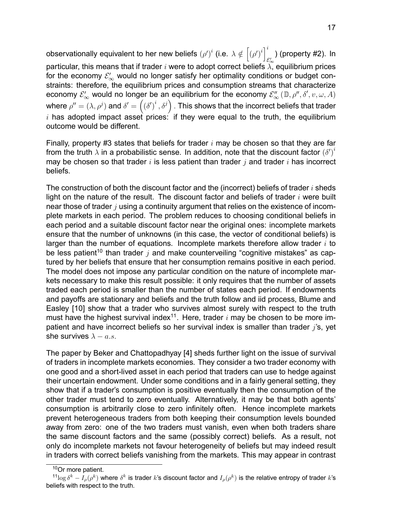observationally equivalent to her new beliefs  $(\rho')^i$  (i.e.  $\lambda \notin {\left[{{(\rho')}^i}\right]}^i$  $\mathcal{E}'_{\infty}$ ) (property #2). In particular, this means that if trader i were to adopt correct beliefs  $\chi$ , equilibrium prices for the economy  $\mathcal{E}^{\prime}_{\infty}$  would no longer satisfy her optimality conditions or budget constraints: therefore, the equilibrium prices and consumption streams that characterize economy  $\mathcal{E}'_\infty$  would no longer be an equilibrium for the economy  $\mathcal{E}''_\infty$   $(\mathbb{D}, \rho'', \delta', v, \omega, A)$ where  $\rho''=(\lambda,\rho^j)$  and  $\delta'=\left(\left(\delta'\right)^i,\delta^j\right)$  . This shows that the incorrect beliefs that trader  $i$  has adopted impact asset prices: if they were equal to the truth, the equilibrium outcome would be different.

Finally, property #3 states that beliefs for trader  $i$  may be chosen so that they are far from the truth  $\lambda$  in a probabilistic sense. In addition, note that the discount factor  ${(\delta')}^i$ may be chosen so that trader i is less patient than trader i and trader i has incorrect beliefs.

The construction of both the discount factor and the (incorrect) beliefs of trader  $i$  sheds light on the nature of the result. The discount factor and beliefs of trader  $i$  were built near those of trader  $j$  using a continuity argument that relies on the existence of incomplete markets in each period. The problem reduces to choosing conditional beliefs in each period and a suitable discount factor near the original ones: incomplete markets ensure that the number of unknowns (in this case, the vector of conditional beliefs) is larger than the number of equations. Incomplete markets therefore allow trader  $i$  to be less patient<sup>10</sup> than trader  $i$  and make counterveiling "cognitive mistakes" as captured by her beliefs that ensure that her consumption remains positive in each period. The model does not impose any particular condition on the nature of incomplete markets necessary to make this result possible: it only requires that the number of assets traded each period is smaller than the number of states each period. If endowments and payoffs are stationary and beliefs and the truth follow and iid process, Blume and Easley [10] show that a trader who survives almost surely with respect to the truth must have the highest survival index<sup>11</sup>. Here, trader  $i$  may be chosen to be more impatient and have incorrect beliefs so her survival index is smaller than trader  $j$ 's, yet she survives  $\lambda - a.s$ .

The paper by Beker and Chattopadhyay [4] sheds further light on the issue of survival of traders in incomplete markets economies. They consider a two trader economy with one good and a short-lived asset in each period that traders can use to hedge against their uncertain endowment. Under some conditions and in a fairly general setting, they show that if a trader's consumption is positive eventually then the consumption of the other trader must tend to zero eventually. Alternatively, it may be that both agents' consumption is arbitrarily close to zero infinitely often. Hence incomplete markets prevent heterogeneous traders from both keeping their consumption levels bounded away from zero: one of the two traders must vanish, even when both traders share the same discount factors and the same (possibly correct) beliefs. As a result, not only do incomplete markets not favour heterogeneity of beliefs but may indeed result in traders with correct beliefs vanishing from the markets. This may appear in contrast

<sup>&</sup>lt;sup>10</sup>Or more patient.

 $^{11}$ log  $\delta^k-I_\rho(\rho^k)$  where  $\delta^k$  is trader  $k$ 's discount factor and  $I_\rho(\rho^k)$  is the relative entropy of trader  $k$ 's beliefs with respect to the truth.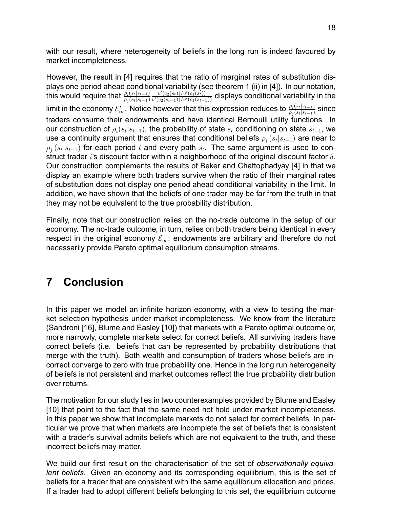with our result, where heterogeneity of beliefs in the long run is indeed favoured by market incompleteness.

However, the result in [4] requires that the ratio of marginal rates of substitution displays one period ahead conditional variability (see theorem 1 (ii) in [4]). In our notation, this would require that  $\frac{\rho_i(s_t|s_{t-1})}{\rho_i(s_t|s_{t-1})}$  $\rho_j(s_t|s_{t-1})$  $v'(c_2(s_t))/v'(c_1(s_t))$  $\frac{v'(c_2(s_t))/v'(c_1(s_t))}{v'(c_2(s_{t-1}))/v'(c_1(s_{t-1}))}$  displays conditional variability in the limit in the economy  $\mathcal{E}'_\infty.$  Notice however that this expression reduces to  $\frac{\rho_i(s_t|s_{t-1})}{\rho_i(s_t|s_{t-1})}$  $\frac{\rho_i(s_t|s_{t-1})}{\rho_j(s_t|s_{t-1})}$  since traders consume their endowments and have identical Bernoulli utility functions. In our construction of  $\rho_i(s_t|s_{t-1})$ , the probability of state  $s_t$  conditioning on state  $s_{t-1}$ , we use a continuity argument that ensures that conditional beliefs  $\rho_i\left(s_t\vert s_{t-1}\right)$  are near to  $\rho_j\left(s_t\vert s_{t-1}\right)$  for each period  $t$  and every path  $s_t.$  The same argument is used to construct trader i's discount factor within a neighborhood of the original discount factor  $\delta$ . Our construction complements the results of Beker and Chattophadyay [4] in that we display an example where both traders survive when the ratio of their marginal rates of substitution does not display one period ahead conditional variability in the limit. In addition, we have shown that the beliefs of one trader may be far from the truth in that they may not be equivalent to the true probability distribution.

Finally, note that our construction relies on the no-trade outcome in the setup of our economy. The no-trade outcome, in turn, relies on both traders being identical in every respect in the original economy  $\mathcal{E}_{\infty}$ ; endowments are arbitrary and therefore do not necessarily provide Pareto optimal equilibrium consumption streams.

# **7 Conclusion**

In this paper we model an infinite horizon economy, with a view to testing the market selection hypothesis under market incompleteness. We know from the literature (Sandroni [16], Blume and Easley [10]) that markets with a Pareto optimal outcome or, more narrowly, complete markets select for correct beliefs. All surviving traders have correct beliefs (i.e. beliefs that can be represented by probability distributions that merge with the truth). Both wealth and consumption of traders whose beliefs are incorrect converge to zero with true probability one. Hence in the long run heterogeneity of beliefs is not persistent and market outcomes reflect the true probability distribution over returns.

The motivation for our study lies in two counterexamples provided by Blume and Easley [10] that point to the fact that the same need not hold under market incompleteness. In this paper we show that incomplete markets do not select for correct beliefs. In particular we prove that when markets are incomplete the set of beliefs that is consistent with a trader's survival admits beliefs which are not equivalent to the truth, and these incorrect beliefs may matter.

We build our first result on the characterisation of the set of *observationally equivalent beliefs*. Given an economy and its corresponding equilibrium, this is the set of beliefs for a trader that are consistent with the same equilibrium allocation and prices. If a trader had to adopt different beliefs belonging to this set, the equilibrium outcome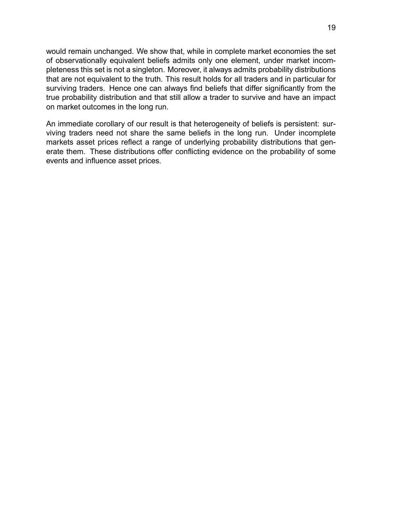would remain unchanged. We show that, while in complete market economies the set of observationally equivalent beliefs admits only one element, under market incompleteness this set is not a singleton. Moreover, it always admits probability distributions that are not equivalent to the truth. This result holds for all traders and in particular for surviving traders. Hence one can always find beliefs that differ significantly from the true probability distribution and that still allow a trader to survive and have an impact on market outcomes in the long run.

An immediate corollary of our result is that heterogeneity of beliefs is persistent: surviving traders need not share the same beliefs in the long run. Under incomplete markets asset prices reflect a range of underlying probability distributions that generate them. These distributions offer conflicting evidence on the probability of some events and influence asset prices.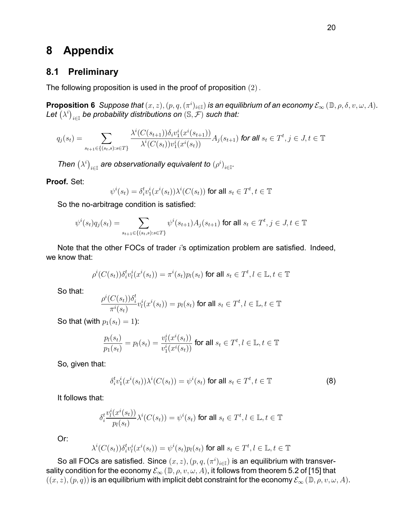### **8 Appendix**

#### **8.1 Preliminary**

The following proposition is used in the proof of proposition (2).

**Proposition 6** Suppose that  $(x, z)$ ,  $(p, q, (\pi^i)_{i \in I})$  is an equilibrium of an economy  $\mathcal{E}_{\infty}$   $(\mathbb{D}, \rho, \delta, v, \omega, A)$ . Let  $\left(\lambda^{i}\right)_{i\in\mathbb{I}}$  be probability distributions on  $\left(\mathbb{S},\mathcal{F}\right)$  such that:

$$
q_j(s_t) = \sum_{s_{t+1} \in \{(s_t, s) : s \in T\}} \frac{\lambda^i(C(s_{t+1})) \delta_i v_1^i(x^i(s_{t+1}))}{\lambda^i(C(s_t)) v_1^i(x^i(s_t))} A_j(s_{t+1}) \text{ for all } s_t \in T^t, j \in J, t \in \mathbb{T}
$$

Then  $(\lambda^i)_{i\in\mathbb{I}}$  are observationally equivalent to  $(\rho^i)_{i\in\mathbb{I}}$ .

**Proof.** Set:

$$
\psi^i(s_t) = \delta^t_i v^i_1(x^i(s_t)) \lambda^i(C(s_t)) \text{ for all } s_t \in T^t, t \in \mathbb{T}
$$

So the no-arbitrage condition is satisfied:

$$
\psi^i(s_t)q_j(s_t) = \sum_{s_{t+1} \in \{ (s_t, s) : s \in T \}} \psi^i(s_{t+1}) A_j(s_{t+1}) \text{ for all } s_t \in T^t, j \in J, t \in \mathbb{T}
$$

Note that the other FOCs of trader i's optimization problem are satisfied. Indeed, we know that:

$$
\rho^i(C(s_t))\delta^t_i v^i_l(x^i(s_t)) = \pi^i(s_t) p_l(s_t) \text{ for all } s_t \in T^t, l \in \mathbb{L}, t \in \mathbb{T}
$$

So that:

$$
\frac{\rho^i(C(s_t))\delta_i^t}{\pi^i(s_t)}v_l^i(x^i(s_t)) = p_l(s_t) \text{ for all } s_t \in T^t, l \in \mathbb{L}, t \in \mathbb{T}
$$

So that (with  $p_1(s_t) = 1$ ):

$$
\frac{p_l(s_t)}{p_1(s_t)} = p_l(s_t) = \frac{v_l^i(x^i(s_t))}{v_1^i(x^i(s_t))} \text{ for all } s_t \in T^t, l \in \mathbb{L}, t \in \mathbb{T}
$$

So, given that:

$$
\delta_i^t v_1^i(x^i(s_t))\lambda^i(C(s_t)) = \psi^i(s_t) \text{ for all } s_t \in T^t, t \in \mathbb{T}
$$
 (8)

It follows that:

$$
\delta_i^t \frac{v_l^i(x^i(s_t))}{p_l(s_t)} \lambda^i(C(s_t)) = \psi^i(s_t) \text{ for all } s_t \in T^t, l \in \mathbb{L}, t \in \mathbb{T}
$$

Or:

$$
\lambda^{i}(C(s_t))\delta^{t}_{i}v^{i}_{l}(x^{i}(s_t)) = \psi^{i}(s_t)p_{l}(s_t) \text{ for all } s_t \in T^{t}, l \in \mathbb{L}, t \in \mathbb{T}
$$

So all FOCs are satisfied. Since  $(x, z), (p, q, (\pi^i)_{i \in \mathbb{I}})$  is an equilibrium with transversality condition for the economy  $\mathcal{E}_{\infty}$  ( $\mathbb{D}, \rho, v, \omega, A$ ), it follows from theorem 5.2 of [15] that  $((x, z), (p, q))$  is an equilibrium with implicit debt constraint for the economy  $\mathcal{E}_{\infty}(\mathbb{D}, \rho, v, \omega, A)$ .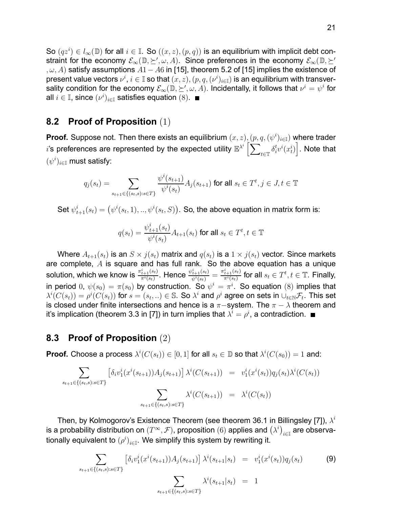So  $(qz^i) \in l_\infty(\mathbb{D})$  for all  $i \in \mathbb{I}$ . So  $((x, z), (p, q))$  is an equilibrium with implicit debt constraint for the economy  $\mathcal{E}_\infty(\mathbb{D},\succeq',\omega,A)$ . Since preferences in the economy  $\mathcal{E}_\infty(\mathbb{D},\succeq'$ ,  $\omega$ , A) satisfy assumptions  $A1-A6$  in [15], theorem 5.2 of [15] implies the existence of present value vectors  $\nu^i,$   $i\in\mathbb{I}$  so that  $(x,z), (p,q,(\nu^i)_{i\in\mathbb{I}})$  is an equilibrium with transversality condition for the economy  $\mathcal{E}_\infty(\mathbb{D},\succeq',\omega,A).$  Incidentally, it follows that  $\nu^i=\psi^i$  for all  $i \in \mathbb{I}$ , since  $(\nu^i)_{i \in \mathbb{I}}$  satisfies equation  $(8)$ .

### **8.2 Proof of Proposition** (1)

**Proof.** Suppose not. Then there exists an equilibrium  $(x, z), (p, q, (\psi^i)_{i \in \mathbb{I}})$  where trader  $i$ 's preferences are represented by the expected utility  $\mathbb{E}^{\lambda^i}\left[\sum_{i=1}^{n} \right]$  $\sum_{t\in\mathbb{T}}\delta_i^t$  $\left[\begin{smallmatrix} t \\ i\end{smallmatrix}\begin{smallmatrix} v^i(x_t^i) \end{smallmatrix} \right]$ . Note that  $(\psi^i)_{i\in\mathbb{I}}$  must satisfy:

$$
q_j(s_t) = \sum_{s_{t+1} \in \{(s_t, s) : s \in T\}} \frac{\psi^i(s_{t+1})}{\psi^i(s_t)} A_j(s_{t+1}) \text{ for all } s_t \in T^t, j \in J, t \in \mathbb{T}
$$

Set  $\psi^i_{t+1}(s_t) = \left(\psi^i(s_t,1),...,\psi^i(s_t,S)\right)$ . So, the above equation in matrix form is:

$$
q(s_t) = \frac{\psi_{t+1}^i(s_t)}{\psi^i(s_t)} A_{t+1}(s_t) \text{ for all } s_t \in T^t, t \in \mathbb{T}
$$

Where  $A_{t+1}(s_t)$  is an  $S \times j(s_t)$  matrix and  $q(s_t)$  is a  $1 \times j(s_t)$  vector. Since markets are complete,  $A$  is square and has full rank. So the above equation has a unique solution, which we know is  $\frac{\pi^i_{t+1}(s_t)}{\pi^i(s_t)}$  $\frac{\dot{t}_{t+1}(s_t)}{\pi^i(s_t)}.$  Hence  $\frac{\psi_{t+1}^i(s_t)}{\psi^i(s_t)}$  $\frac{\pi^i_{t+1}(s_t)}{\psi^i(s_t)} = \frac{\pi^i_{t+1}(s_t)}{\pi^i(s_t)}$  $\frac{\frac{t}{t+1}(s_t)}{\pi^i(s_t)}$  for all  $s_t \in T^t, t \in \mathbb{T}.$  Finally, in period  $0, \, \psi(s_0) = \pi(s_0)$  by construction. So  $\psi^i = \pi^i$ . So equation  $(8)$  implies that  $\lambda^i(C(s_t))=\rho^i(C(s_t))$  for  $s=(s_t,..)\in \mathbb{S}.$  So  $\lambda^i$  and  $\rho^i$  agree on sets in  $\cup_{t\in \mathbb{N}}\mathcal{F}_t.$  This set is closed under finite intersections and hence is a  $\pi$ -system. The  $\pi - \lambda$  theorem and it's implication (theorem 3.3 in [7]) in turn implies that  $\lambda^i=\rho^i$ , a contradiction.

#### **8.3 Proof of Proposition** (2)

**Proof.** Choose a process  $\lambda^i(C(s_t)) \in [0,1]$  for all  $s_t \in \mathbb{D}$  so that  $\lambda^i(C(s_0)) = 1$  and:

$$
\sum_{s_{t+1} \in \{(s_t, s) : s \in T\}} \left[ \delta_i v_1^i(x^i(s_{t+1})) A_j(s_{t+1}) \right] \lambda^i(C(s_{t+1})) = v_1^i(x^i(s_t)) q_j(s_t) \lambda^i(C(s_t))
$$
\n
$$
\sum_{s_{t+1} \in \{(s_t, s) : s \in T\}} \lambda^i(C(s_{t+1})) = \lambda^i(C(s_t))
$$

Then, by Kolmogorov's Existence Theorem (see theorem 36.1 in Billingsley [7]),  $\lambda^i$ is a probability distribution on  $(T^\infty,\mathcal{F})$ , proposition  $(6)$  applies and  $\big(\lambda^i\big)_{i\in\mathbb{I}}$  are observationally equivalent to  ${(\rho^i)}_{i\in\mathbb{I}}.$  We simplify this system by rewriting it.

$$
\sum_{s_{t+1} \in \{(s_t, s) : s \in T\}} \left[ \delta_i v_1^i(x^i(s_{t+1})) A_j(s_{t+1}) \right] \lambda^i(s_{t+1}|s_t) = v_1^i(x^i(s_t)) q_j(s_t)
$$
(9)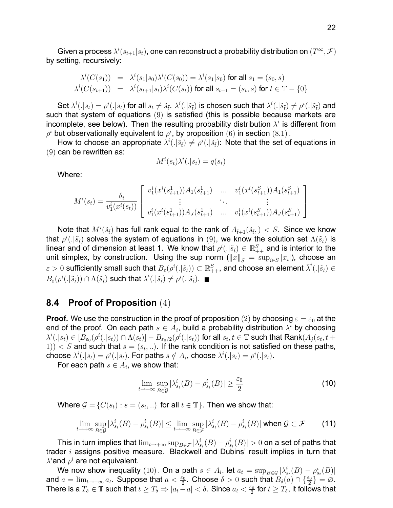Given a process  $\lambda^i(s_{t+1}|s_t)$ , one can reconstruct a probability distribution on  $(T^\infty,\mathcal{F})$ by setting, recursively:

$$
\begin{array}{rcl}\n\lambda^i(C(s_1)) & = & \lambda^i(s_1|s_0)\lambda^i(C(s_0)) = \lambda^i(s_1|s_0) \text{ for all } s_1 = (s_0, s) \\
\lambda^i(C(s_{t+1})) & = & \lambda^i(s_{t+1}|s_t)\lambda^i(C(s_t)) \text{ for all } s_{t+1} = (s_t, s) \text{ for } t \in \mathbb{T} - \{0\}\n\end{array}
$$

Set  $\lambda^i(.|s_t)=\rho^i(.|s_t)$  for all  $s_t\neq \widetilde{s}_{\tilde{t}}.$   $\lambda^i(.|\widetilde{s}_{\tilde{t}})$  is chosen such that  $\lambda^i(.|\widetilde{s}_{\tilde{t}})\neq \rho^i(.|\widetilde{s}_{\tilde{t}})$  and such that system of equations (9) is satisfied (this is possible because markets are incomplete, see below). Then the resulting probability distribution  $\lambda^i$  is different from  $\rho^i$  but observationally equivalent to  $\rho^i$ , by proposition  $(6)$  in section  $(8.1)$  .

How to choose an appropriate  $\lambda^i(.|\tilde{s}_{\tilde{t}}) \neq \rho^i(.|\tilde{s}_{\tilde{t}})$ : Note that the set of equations in (9) can be rewritten as:

$$
M^{i}(s_{t})\lambda^{i}(.|s_{t}) = q(s_{t})
$$

Where:

$$
M^{i}(s_{t}) = \frac{\delta_{i}}{v_{1}^{i}(x^{i}(s_{t}))} \begin{bmatrix} v_{1}^{i}(x^{i}(s_{t+1}^{1})) A_{1}(s_{t+1}^{1}) & \dots & v_{1}^{i}(x^{i}(s_{t+1}^{S})) A_{1}(s_{t+1}^{S}) \\ \vdots & \vdots & \ddots & \vdots \\ v_{1}^{i}(x^{i}(s_{t+1}^{1})) A_{J}(s_{t+1}^{1}) & \dots & v_{1}^{i}(x^{i}(s_{t+1}^{S})) A_{J}(s_{t+1}^{S}) \end{bmatrix}
$$

Note that  $M^i(\tilde{s}_{\tilde{t}})$  has full rank equal to the rank of  $A_{\tilde{t}+1}(\tilde{s}_{\tilde{t}},\,)< S.$  Since we know that  $\rho^i(.|\widetilde{s}_{\tilde{t}})$  solves the system of equations in  $(9)$ , we know the solution set  $\Lambda(\widetilde{s}_{\tilde{t}})$  is linear and of dimension at least 1. We know that  $\rho^i(.|\tilde{s}_{\tilde{t}})\in \mathbb{R}^S_{++}$  and is interior to the unit simplex, by construction. Using the sup norm  $(\|x\|_S\,=\, \sup_{i\in S}|x_i|)$ , choose an  $\varepsilon>0$  sufficiently small such that  $B_\varepsilon(\rho^i(.|\tilde{s}_{\tilde{t}}))\subset\mathbb{R}^S_{++}$ , and choose an element  $\bar{\lambda}^i(.|\tilde{s}_{\tilde{t}})\in$  $B_\varepsilon(\rho^i(.|\tilde{s}_{\tilde{t}}))\cap \Lambda(\tilde{s}_{\tilde{t}})$  such that  $\bar{\lambda}^i(.|\tilde{s}_{\tilde{t}})\neq \rho^i(.|\tilde{s}_{\tilde{t}}).$ 

### **8.4 Proof of Proposition** (4)

**Proof.** We use the construction in the proof of proposition (2) by choosing  $\varepsilon = \varepsilon_0$  at the end of the proof. On each path  $s \in A_i$ , build a probability distribution  $\lambda^i$  by choosing  $\lambda^i(.|s_t)\in [B_{\varepsilon_0}(\rho^i(.|s_t))\cap \Lambda(s_t)]-B_{\varepsilon_0/2}(\rho^i(.|s_t))$  for all  $s_t,t\in\mathbb{T}$  such that Rank $(A_j(s_t,t+1))$  $(1)) < S$  and such that  $s = (s_t, ...)$ . If the rank condition is not satisfied on these paths, choose  $\lambda^i(.|s_t) = \rho^i(.|s_t)$ . For paths  $s \notin A_i$ , choose  $\lambda^i(.|s_t) = \rho^i(.|s_t)$ .

For each path  $s \in A_i$ , we show that:

$$
\lim_{t \to +\infty} \sup_{B \in \mathcal{G}} |\lambda_{s_t}^i(B) - \rho_{s_t}^i(B)| \ge \frac{\varepsilon_0}{2} \tag{10}
$$

Where  $\mathcal{G} = \{C(s_t) : s = (s_t, ...)$  for all  $t \in \mathbb{T}\}$ . Then we show that:

$$
\lim_{t \to +\infty} \sup_{B \in \mathcal{G}} |\lambda_{s_t}^i(B) - \rho_{s_t}^i(B)| \le \lim_{t \to +\infty} \sup_{B \in \mathcal{F}} |\lambda_{s_t}^i(B) - \rho_{s_t}^i(B)| \text{ when } \mathcal{G} \subset \mathcal{F}
$$
 (11)

This in turn implies that  $\lim_{t\to +\infty} \sup_{B\in\mathcal{F}}|\lambda_s^i$  $\frac{i}{s_{t}}(B)-\rho^{i}_{s_{t}}(B)|>0$  on a set of paths that trader  $i$  assigns positive measure. Blackwell and Dubins' result implies in turn that  $\lambda^i$ and  $\rho^i$  are not equivalent.

We now show inequality  $(10)$  . On a path  $s \in A_i,$  let  $a_t = \sup_{B \in \mathcal{G}} |\lambda_s^{i}|$  $s_t(B) - \rho_{s_t}^i(B)$ and  $a = \lim_{t \to +\infty} a_t$ . Suppose that  $a < \frac{\varepsilon_0}{2}$ . Choose  $\delta > 0$  such that  $B_\delta(a) \cap \{\frac{\varepsilon_0}{2}\} = \varnothing$ . There is a  $T_\delta\in\mathbb{T}$  such that  $t\geq T_\delta\Rightarrow |a_t-a|<\delta.$  Since  $a_t<\frac{\varepsilon_0}{2}$  $\frac{\varepsilon_0}{2}$  for  $t\geq T_\delta$ , it follows that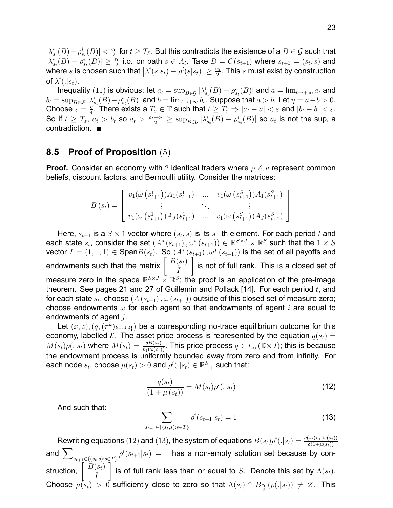$|\lambda_s^i$  $\frac{i}{s_t}(B)-\rho^i_{s_t}(B)|<\frac{\varepsilon_0}{2}$  $\frac{\varepsilon_0}{2}$  for  $t\geq T_\delta.$  But this contradicts the existence of a  $B\in\mathcal{G}$  such that  $|\lambda_s^i$  $s_{s_t}(B)-\rho^i_{s_t}(B)|\geq \frac{\varepsilon_0}{2}$  i.o. on path  $s\in A_i.$  Take  $B=C(s_{t+1})$  where  $s_{t+1}=(s_t,s)$  and where  $s$  is chosen such that  $\left|\lambda^i(s|s_t) - \rho^i(s|s_t)\right| \geq \frac{\varepsilon_0}{2}$  $\frac{\varepsilon_0}{2}.$  This  $s$  must exist by construction of  $\lambda^i(.|s_t).$ 

Inequality  $(11)$  is obvious: let  $a_t = \sup_{B \in \mathcal{G}} |\lambda_s^i|$  $\mathcal{L}_{s_t}^{i}(B)-\rho_{s_t}^{i}(B)|$  and  $a=\lim_{t\rightarrow+\infty}a_t$  and  $b_t = \sup_{B \in \mathcal{F}} |\lambda_s^i|$  $s_{s_t}(B)-\rho^i_{s_t}(B)|$  and  $b=\lim_{t\to+\infty}b_t.$  Suppose that  $a>b.$  Let  $\eta=a-b>0.$ Choose  $\varepsilon = \frac{\eta}{4}$  $\frac{q}{4}.$  There exists a  $T_\varepsilon\in\mathbb{T}$  such that  $t\geq T_\varepsilon\Rightarrow |a_t-a|<\varepsilon$  and  $|b_t-b|<\varepsilon.$ So if  $t \geq T_{\varepsilon}$ ,  $a_t > b_t$  so  $a_t > \frac{a_t + b_t}{2} \geq \sup_{B \in \mathcal{G}} |\lambda_s^i$  $s_t^{i}(B)-\rho_{s_t}^{i}(B)|$  so  $a_t$  is not the sup, a contradiction.

### **8.5 Proof of Proposition** (5)

**Proof.** Consider an economy with 2 identical traders where  $\rho$ ,  $\delta$ ,  $v$  represent common beliefs, discount factors, and Bernoulli utility. Consider the matrices:

$$
B(s_t) = \begin{bmatrix} v_1(\omega(s_{t+1}^1))A_1(s_{t+1}^1) & \dots & v_1(\omega(s_{t+1}^S))A_1(s_{t+1}^S) \\ \vdots & \vdots & \vdots \\ v_1(\omega(s_{t+1}^1))A_J(s_{t+1}^1) & \dots & v_1(\omega(s_{t+1}^S))A_J(s_{t+1}^S) \end{bmatrix}
$$

Here,  $s_{t+1}$  is a  $S \times 1$  vector where  $(s_t,s)$  is its  $s-$ th element. For each period  $t$  and each state  $s_t$ , consider the set  $(A^*(s_{t+1}), \omega^*(s_{t+1})) \in \mathbb{R}^{S \times J} \times \mathbb{R}^S$  such that the  $1 \times S$ vector  $I = (1,..,1) \in \mathsf{Span}B(s_t)$ . So  $(A^*(s_{t+1}), \omega^*(s_{t+1}))$  is the set of all payoffs and endowments such that the matrix  $\begin{bmatrix} B(s_t) \\ r \end{bmatrix}$ I 1 is not of full rank. This is a closed set of measure zero in the space  $\mathbb{R}^{S\times J}\times\mathbb{R}^S$ ; the proof is an application of the pre-image theorem. See pages 21 and 27 of Guillemin and Pollack [14]. For each period  $t$ , and for each state  $s_t$ , choose  $(A\left( s_{t+1} \right),\omega \left( s_{t+1} \right))$  outside of this closed set of measure zero; choose endowments  $\omega$  for each agent so that endowments of agent i are equal to endowments of agent  $j$ .

Let  $(x, z), (q, (\pi^k)_{k \in \{i, j\}})$  be a corresponding no-trade equilibrium outcome for this economy, labelled  $\mathcal{E}$ . The asset price process is represented by the equation  $q(s_t)$  =  $M(s_t)\rho(.|s_t)$  where  $M(s_t)=\frac{\delta B(s_t)}{v_1(\omega(s_t))}.$  This price process  $q\in l_\infty\left(\mathbb{D}\times J\right);$  this is because the endowment process is uniformly bounded away from zero and from infinity. For each node  $s_t$ , choose  $\mu(s_t)>0$  and  $\rho^i(.|s_t)\in \mathbb{R}^S_{++}$  such that:

$$
\frac{q(s_t)}{(1+\mu(s_t))} = M(s_t)\rho^i(.|s_t)
$$
\n(12)

And such that:

$$
\sum_{s_{t+1}\in\{(s_t,s):s\in T\}} \rho^i(s_{t+1}|s_t) = 1 \tag{13}
$$

Rewriting equations  $(12)$  and  $(13)$ , the system of equations  $B(s_t) \rho^i(.|s_t) = \frac{q(s_t) v_1(\omega(s_t))}{\delta(1+\mu(s_t))}$ and  $\sum\nolimits_{s_{t+1}\in\{(s_t,s):s\in T\}}\rho^i(s_{t+1}|s_t)\,=\,1$  has a non-empty solution set because by construction,  $\begin{bmatrix} B(s_t) \\ I \end{bmatrix}$ I 1 is of full rank less than or equal to  $S$ . Denote this set by  $\Lambda(s_t)$ . Choose  $\mu(s_t) > 0$  sufficiently close to zero so that  $\Lambda(s_t) \cap B_{\frac{\varepsilon_0}{2}}(\rho(.|s_t)) \neq \emptyset$ . This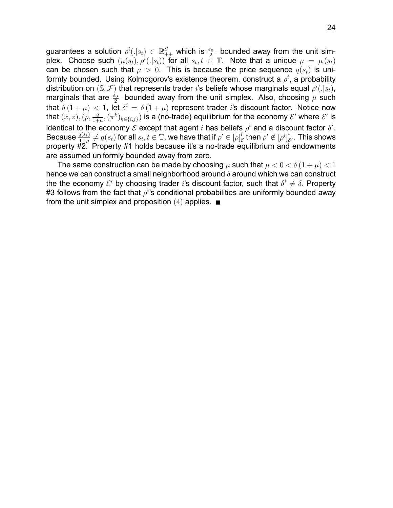guarantees a solution  $\rho^i(.|s_t) \in \mathbb{R}^S_{++}$  which is  $\frac{\varepsilon_0}{2}$ -bounded away from the unit simplex. Choose such  $(\mu(s_t), \rho^i(.|s_t))$  for all  $s_t, t \in \mathbb{T}$ . Note that a unique  $\mu = \mu(s_t)$ can be chosen such that  $\mu > 0$ . This is because the price sequence  $q(s_t)$  is uniformly bounded. Using Kolmogorov's existence theorem, construct a  $\rho^i$ , a probability distribution on  $(\mathbb{S},\mathcal{F})$  that represents trader  $i$ 's beliefs whose marginals equal  $\rho^i(.|s_t),$ marginals that are  $\frac{\varepsilon_0}{2}$ -bounded away from the unit simplex. Also, choosing  $\mu$  such that  $\delta\,(1+\mu)\,<\,1$ , let  $\delta^i\,=\,\delta\,(1+\mu)$  represent trader i's discount factor. Notice now that  $(x,z),(p,\frac{q}{1+\mu},(\pi^k)_{k\in\{i,j\}})$  is a (no-trade) equilibrium for the economy  $\mathcal E'$  where  $\mathcal E'$  is identical to the economy  $\mathcal E$  except that agent  $i$  has beliefs  $\rho^i$  and a discount factor  $\delta^i.$ Because  $\frac{q(s_t)}{1+\mu}\neq q(s_t)$  for all  $s_t,t\in\mathbb{T},$  we have that if  $\rho'\in[\rho]_{\mathcal{E}}^i$  $\frac{i}{\mathcal{E}}$  then  $\rho' \notin \left[\rho^i\right]_{\mathcal{E}}^i$  $_{\mathcal{E}^{\prime}}^{^{\imath}}$ . This shows property  $\sharp 2$ . Property #1 holds because it's a no-trade equilibrium and endowments are assumed uniformly bounded away from zero.

The same construction can be made by choosing  $\mu$  such that  $\mu < 0 < \delta (1 + \mu) < 1$ hence we can construct a small neighborhood around  $\delta$  around which we can construct the the economy  $\mathcal{E}'$  by choosing trader  $i$ 's discount factor, such that  $\delta^i\neq\delta.$  Property #3 follows from the fact that  $\rho^i$ 's conditional probabilities are uniformly bounded away from the unit simplex and proposition  $(4)$  applies.  $\blacksquare$